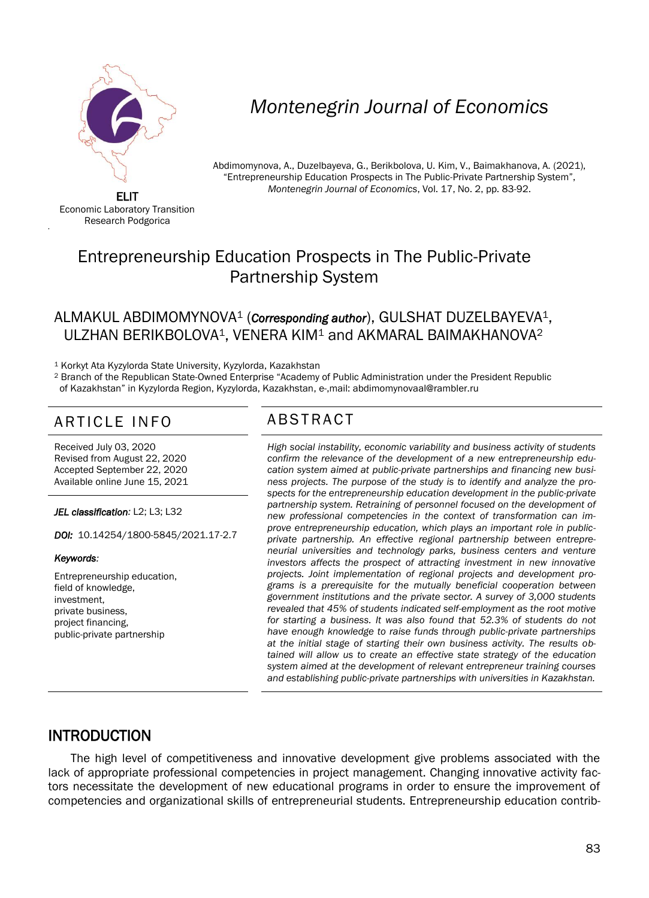

# *Montenegrin Journal of Economics*

Abdimomynova, A., Duzelbayeva, G., Berikbolova, U. Kim, V., Baimakhanova, A. (2021), "Entrepreneurship Education Prospects in The Public-Private Partnership System", *Montenegrin Journal of Economics*, Vol. 17, No. 2, pp. 83-92.

ELIT Economic Laboratory Transition Research Podgorica

'

# Entrepreneurship Education Prospects in The Public-Private Partnership System

#### ALMAKUL ABDIMOMYNOVA<sup>1</sup> (*Corresponding author*), GULSHAT DUZELBAYEVA1, ULZHAN BERIKBOLOVA<sup>1</sup>, VENERA KIM<sup>1</sup> and AKMARAL BAIMAKHANOVA<sup>2</sup>

<sup>1</sup> Korkyt Ata Kyzylorda State University, Kyzylorda, Kazakhstan

<sup>2</sup> Branch of the Republican State-Owned Enterprise "Academy of Public Administration under the President Republic of Kazakhstan" in Kyzylorda Region, Kyzylorda, Kazakhstan, e-,mail: abdimomynovaal@rambler.ru

## ARTICLE INFO ABSTRACT

Received July 03, 2020 Revised from August 22, 2020 Accepted September 22, 2020 Available online June 15, 2021

*JEL classification:* L2; L3; L32

*DOI:* 10.14254/1800-5845/2021.17-2.7

*Keywords:* 

Entrepreneurship education, field of knowledge, investment, private business, project financing, public-private partnership

 *High social instability, economic variability and business activity of students confirm the relevance of the development of a new entrepreneurship education system aimed at public-private partnerships and financing new business projects. The purpose of the study is to identify and analyze the prospects for the entrepreneurship education development in the public-private partnership system. Retraining of personnel focused on the development of new professional competencies in the context of transformation can improve entrepreneurship education, which plays an important role in publicprivate partnership. An effective regional partnership between entrepreneurial universities and technology parks, business centers and venture investors affects the prospect of attracting investment in new innovative projects. Joint implementation of regional projects and development programs is a prerequisite for the mutually beneficial cooperation between government institutions and the private sector. A survey of 3,000 students revealed that 45% of students indicated self-employment as the root motive for starting a business. It was also found that 52.3% of students do not have enough knowledge to raise funds through public-private partnerships at the initial stage of starting their own business activity. The results obtained will allow us to create an effective state strategy of the education system aimed at the development of relevant entrepreneur training courses and establishing public-private partnerships with universities in Kazakhstan.*

### INTRODUCTION

The high level of competitiveness and innovative development give problems associated with the lack of appropriate professional competencies in project management. Changing innovative activity factors necessitate the development of new educational programs in order to ensure the improvement of competencies and organizational skills of entrepreneurial students. Entrepreneurship education contrib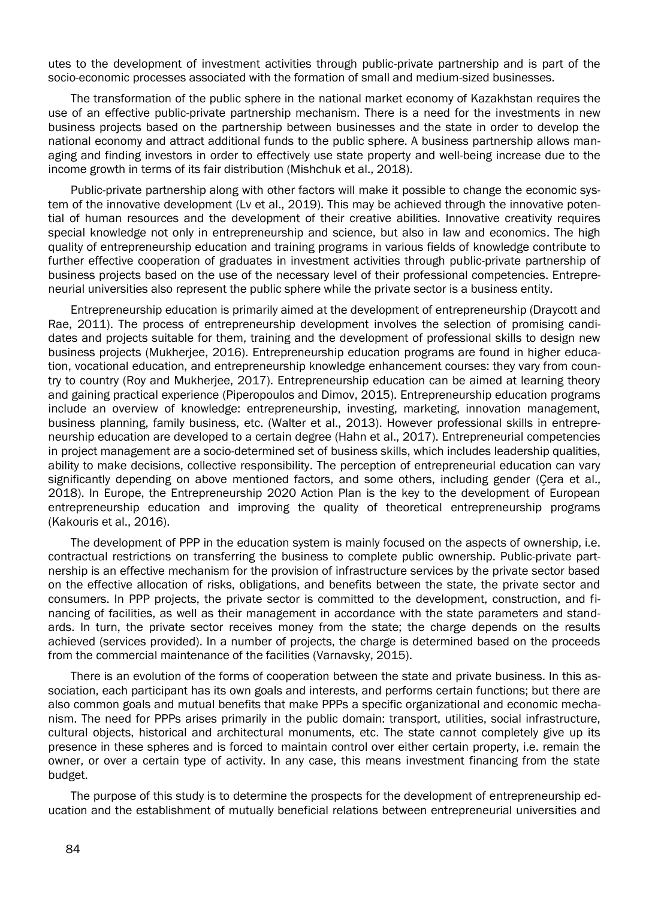utes to the development of investment activities through public-private partnership and is part of the socio-economic processes associated with the formation of small and medium-sized businesses.

The transformation of the public sphere in the national market economy of Kazakhstan requires the use of an effective public-private partnership mechanism. There is a need for the investments in new business projects based on the partnership between businesses and the state in order to develop the national economy and attract additional funds to the public sphere. A business partnership allows managing and finding investors in order to effectively use state property and well-being increase due to the income growth in terms of its fair distribution (Mishchuk et al., 2018).

Public-private partnership along with other factors will make it possible to change the economic system of the innovative development (Lv et al., 2019). This may be achieved through the innovative potential of human resources and the development of their creative abilities. Innovative creativity requires special knowledge not only in entrepreneurship and science, but also in law and economics. The high quality of entrepreneurship education and training programs in various fields of knowledge contribute to further effective cooperation of graduates in investment activities through public-private partnership of business projects based on the use of the necessary level of their professional competencies. Entrepreneurial universities also represent the public sphere while the private sector is a business entity.

Entrepreneurship education is primarily aimed at the development of entrepreneurship (Draycott and Rae, 2011). The process of entrepreneurship development involves the selection of promising candidates and projects suitable for them, training and the development of professional skills to design new business projects (Mukherjee, 2016). Entrepreneurship education programs are found in higher education, vocational education, and entrepreneurship knowledge enhancement courses: they vary from country to country (Roy and Mukherjee, 2017). Entrepreneurship education can be aimed at learning theory and gaining practical experience (Piperopoulos and Dimov, 2015). Entrepreneurship education programs include an overview of knowledge: entrepreneurship, investing, marketing, innovation management, business planning, family business, etc. (Walter et al., 2013). However professional skills in entrepreneurship education are developed to a certain degree (Hahn et al., 2017). Entrepreneurial competencies in project management are a socio-determined set of business skills, which includes leadership qualities, ability to make decisions, collective responsibility. The perception of entrepreneurial education can vary significantly depending on above mentioned factors, and some others, including gender (Çera et al., 2018). In Europe, the Entrepreneurship 2020 Action Plan is the key to the development of European entrepreneurship education and improving the quality of theoretical entrepreneurship programs (Kakouris et al., 2016).

The development of PPP in the education system is mainly focused on the aspects of ownership, i.e. contractual restrictions on transferring the business to complete public ownership. Public-private partnership is an effective mechanism for the provision of infrastructure services by the private sector based on the effective allocation of risks, obligations, and benefits between the state, the private sector and consumers. In PPP projects, the private sector is committed to the development, construction, and financing of facilities, as well as their management in accordance with the state parameters and standards. In turn, the private sector receives money from the state; the charge depends on the results achieved (services provided). In a number of projects, the charge is determined based on the proceeds from the commercial maintenance of the facilities (Varnavsky, 2015).

There is an evolution of the forms of cooperation between the state and private business. In this association, each participant has its own goals and interests, and performs certain functions; but there are also common goals and mutual benefits that make PPPs a specific organizational and economic mechanism. The need for PPPs arises primarily in the public domain: transport, utilities, social infrastructure, cultural objects, historical and architectural monuments, etc. The state cannot completely give up its presence in these spheres and is forced to maintain control over either certain property, i.e. remain the owner, or over a certain type of activity. In any case, this means investment financing from the state budget.

The purpose of this study is to determine the prospects for the development of entrepreneurship education and the establishment of mutually beneficial relations between entrepreneurial universities and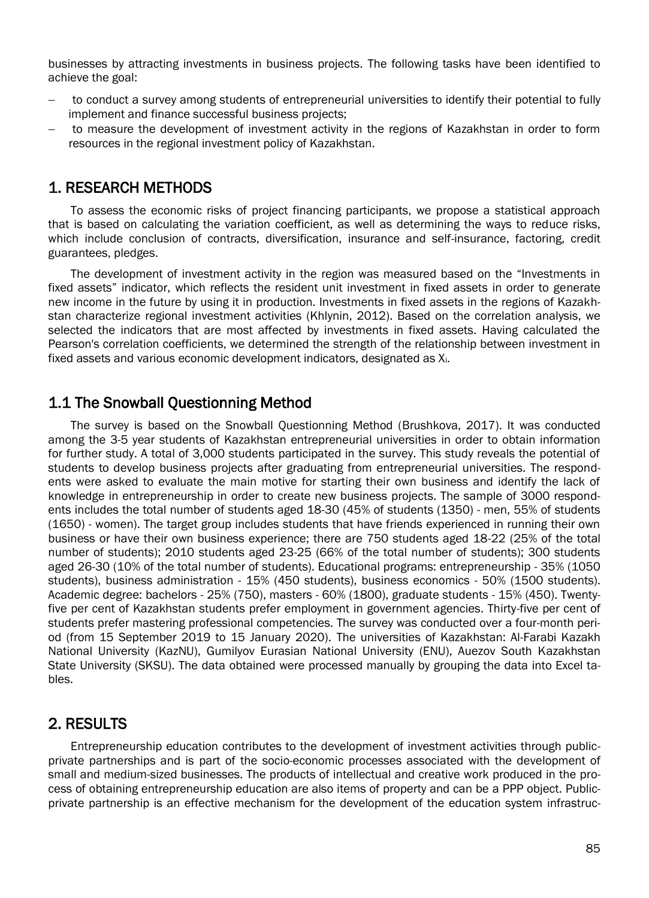businesses by attracting investments in business projects. The following tasks have been identified to achieve the goal:

- to conduct a survey among students of entrepreneurial universities to identify their potential to fully implement and finance successful business projects;
- to measure the development of investment activity in the regions of Kazakhstan in order to form resources in the regional investment policy of Kazakhstan.

#### 1. RESEARCH METHODS

To assess the economic risks of project financing participants, we propose a statistical approach that is based on calculating the variation coefficient, as well as determining the ways to reduce risks, which include conclusion of contracts, diversification, insurance and self-insurance, factoring, credit guarantees, pledges.

The development of investment activity in the region was measured based on the "Investments in fixed assets" indicator, which reflects the resident unit investment in fixed assets in order to generate new income in the future by using it in production. Investments in fixed assets in the regions of Kazakhstan characterize regional investment activities (Khlynin, 2012). Based on the correlation analysis, we selected the indicators that are most affected by investments in fixed assets. Having calculated the Pearson's correlation coefficients, we determined the strength of the relationship between investment in fixed assets and various economic development indicators, designated as Xi.

#### 1.1 The Snowball Questionning Method

The survey is based on the Snowball Questionning Method (Brushkova, 2017). It was conducted among the 3-5 year students of Kazakhstan entrepreneurial universities in order to obtain information for further study. A total of 3,000 students participated in the survey. This study reveals the potential of students to develop business projects after graduating from entrepreneurial universities. The respondents were asked to evaluate the main motive for starting their own business and identify the lack of knowledge in entrepreneurship in order to create new business projects. The sample of 3000 respondents includes the total number of students aged 18-30 (45% of students (1350) - men, 55% of students (1650) - women). The target group includes students that have friends experienced in running their own business or have their own business experience; there are 750 students aged 18-22 (25% of the total number of students); 2010 students aged 23-25 (66% of the total number of students); 300 students aged 26-30 (10% of the total number of students). Educational programs: entrepreneurship - 35% (1050 students), business administration - 15% (450 students), business economics - 50% (1500 students). Academic degree: bachelors - 25% (750), masters - 60% (1800), graduate students - 15% (450). Twentyfive per cent of Kazakhstan students prefer employment in government agencies. Thirty-five per cent of students prefer mastering professional competencies. The survey was conducted over a four-month period (from 15 September 2019 to 15 January 2020). The universities of Kazakhstan: Al-Farabi Kazakh National University (KazNU), Gumilyov Eurasian National University (ENU), Auezov South Kazakhstan State University (SKSU). The data obtained were processed manually by grouping the data into Excel tables.

### 2. RESULTS

Entrepreneurship education contributes to the development of investment activities through publicprivate partnerships and is part of the socio-economic processes associated with the development of small and medium-sized businesses. The products of intellectual and creative work produced in the process of obtaining entrepreneurship education are also items of property and can be a PPP object. Publicprivate partnership is an effective mechanism for the development of the education system infrastruc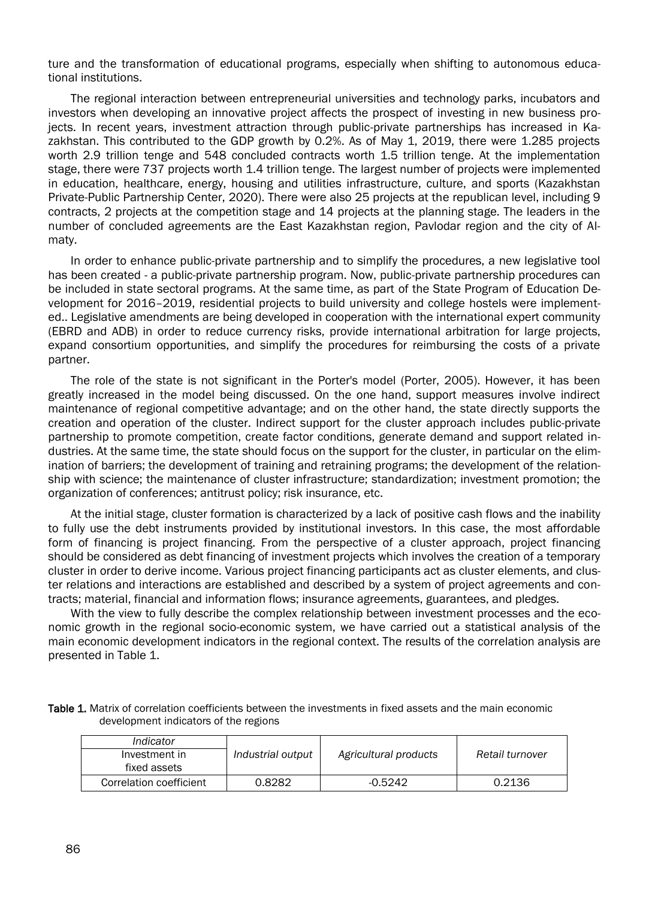ture and the transformation of educational programs, especially when shifting to autonomous educational institutions.

The regional interaction between entrepreneurial universities and technology parks, incubators and investors when developing an innovative project affects the prospect of investing in new business projects. In recent years, investment attraction through public-private partnerships has increased in Kazakhstan. This contributed to the GDP growth by 0.2%. As of May 1, 2019, there were 1.285 projects worth 2.9 trillion tenge and 548 concluded contracts worth 1.5 trillion tenge. At the implementation stage, there were 737 projects worth 1.4 trillion tenge. The largest number of projects were implemented in education, healthcare, energy, housing and utilities infrastructure, culture, and sports (Kazakhstan Private-Public Partnership Center, 2020). There were also 25 projects at the republican level, including 9 contracts, 2 projects at the competition stage and 14 projects at the planning stage. The leaders in the number of concluded agreements are the East Kazakhstan region, Pavlodar region and the city of Almaty.

In order to enhance public-private partnership and to simplify the procedures, a new legislative tool has been created - a public-private partnership program. Now, public-private partnership procedures can be included in state sectoral programs. At the same time, as part of the State Program of Education Development for 2016–2019, residential projects to build university and college hostels were implemented.. Legislative amendments are being developed in cooperation with the international expert community (EBRD and ADB) in order to reduce currency risks, provide international arbitration for large projects, expand consortium opportunities, and simplify the procedures for reimbursing the costs of a private partner.

The role of the state is not significant in the Porter's model (Porter, 2005). However, it has been greatly increased in the model being discussed. On the one hand, support measures involve indirect maintenance of regional competitive advantage; and on the other hand, the state directly supports the creation and operation of the cluster. Indirect support for the cluster approach includes public-private partnership to promote competition, create factor conditions, generate demand and support related industries. At the same time, the state should focus on the support for the cluster, in particular on the elimination of barriers; the development of training and retraining programs; the development of the relationship with science; the maintenance of cluster infrastructure; standardization; investment promotion; the organization of conferences; antitrust policy; risk insurance, etc.

At the initial stage, cluster formation is characterized by a lack of positive cash flows and the inability to fully use the debt instruments provided by institutional investors. In this case, the most affordable form of financing is project financing. From the perspective of a cluster approach, project financing should be considered as debt financing of investment projects which involves the creation of a temporary cluster in order to derive income. Various project financing participants act as cluster elements, and cluster relations and interactions are established and described by a system of project agreements and contracts; material, financial and information flows; insurance agreements, guarantees, and pledges.

With the view to fully describe the complex relationship between investment processes and the economic growth in the regional socio-economic system, we have carried out a statistical analysis of the main economic development indicators in the regional context. The results of the correlation analysis are presented in Table 1.

| Table 1. Matrix of correlation coefficients between the investments in fixed assets and the main economic |                                       |  |  |
|-----------------------------------------------------------------------------------------------------------|---------------------------------------|--|--|
|                                                                                                           | development indicators of the regions |  |  |

| Indicator               |                   |                       |                 |
|-------------------------|-------------------|-----------------------|-----------------|
| Investment in           | Industrial output | Agricultural products | Retail turnover |
| fixed assets            |                   |                       |                 |
| Correlation coefficient | 0.8282            | $-0.5242$             | 0.2136          |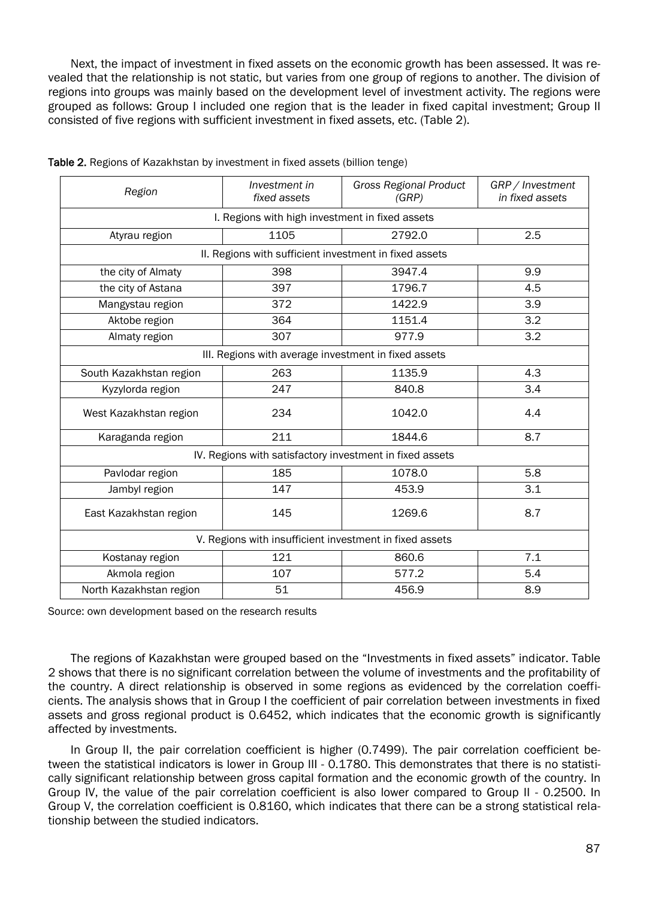Next, the impact of investment in fixed assets on the economic growth has been assessed. It was revealed that the relationship is not static, but varies from one group of regions to another. The division of regions into groups was mainly based on the development level of investment activity. The regions were grouped as follows: Group I included one region that is the leader in fixed capital investment; Group II consisted of five regions with sufficient investment in fixed assets, etc. (Table 2).

| Region                                                   | Investment in<br>fixed assets                        | <b>Gross Regional Product</b><br>(GRP) | GRP / Investment<br>in fixed assets |  |
|----------------------------------------------------------|------------------------------------------------------|----------------------------------------|-------------------------------------|--|
| I. Regions with high investment in fixed assets          |                                                      |                                        |                                     |  |
| Atyrau region                                            | 1105                                                 | 2792.0                                 | 2.5                                 |  |
| II. Regions with sufficient investment in fixed assets   |                                                      |                                        |                                     |  |
| the city of Almaty                                       | 398                                                  | 3947.4                                 | 9.9                                 |  |
| the city of Astana                                       | 397                                                  | 1796.7                                 | 4.5                                 |  |
| Mangystau region                                         | 372                                                  | 1422.9                                 | 3.9                                 |  |
| Aktobe region                                            | 364                                                  | 1151.4                                 | 3.2                                 |  |
| Almaty region                                            | 307                                                  | 977.9                                  | 3.2                                 |  |
|                                                          | III. Regions with average investment in fixed assets |                                        |                                     |  |
| South Kazakhstan region                                  | 263                                                  | 1135.9                                 | 4.3                                 |  |
| Kyzylorda region                                         | 247                                                  | 840.8                                  | 3.4                                 |  |
| West Kazakhstan region                                   | 234                                                  | 1042.0                                 | 4.4                                 |  |
| Karaganda region                                         | 211                                                  | 1844.6                                 | 8.7                                 |  |
| IV. Regions with satisfactory investment in fixed assets |                                                      |                                        |                                     |  |
| Pavlodar region                                          | 185                                                  | 1078.0                                 | 5.8                                 |  |
| Jambyl region                                            | 147                                                  | 453.9                                  | 3.1                                 |  |
| East Kazakhstan region                                   | 145                                                  | 1269.6                                 | 8.7                                 |  |
| V. Regions with insufficient investment in fixed assets  |                                                      |                                        |                                     |  |
| Kostanay region                                          | 121                                                  | 860.6                                  | 7.1                                 |  |
| Akmola region                                            | 107                                                  | 577.2                                  | 5.4                                 |  |
| North Kazakhstan region                                  | 51                                                   | 456.9                                  | 8.9                                 |  |

| Table 2. Regions of Kazakhstan by investment in fixed assets (billion tenge) |  |  |
|------------------------------------------------------------------------------|--|--|
|                                                                              |  |  |

Source: own development based on the research results

The regions of Kazakhstan were grouped based on the "Investments in fixed assets" indicator. Table 2 shows that there is no significant correlation between the volume of investments and the profitability of the country. A direct relationship is observed in some regions as evidenced by the correlation coefficients. The analysis shows that in Group I the coefficient of pair correlation between investments in fixed assets and gross regional product is 0.6452, which indicates that the economic growth is significantly affected by investments.

In Group II, the pair correlation coefficient is higher (0.7499). The pair correlation coefficient between the statistical indicators is lower in Group III - 0.1780. This demonstrates that there is no statistically significant relationship between gross capital formation and the economic growth of the country. In Group IV, the value of the pair correlation coefficient is also lower compared to Group II - 0.2500. In Group V, the correlation coefficient is 0.8160, which indicates that there can be a strong statistical relationship between the studied indicators.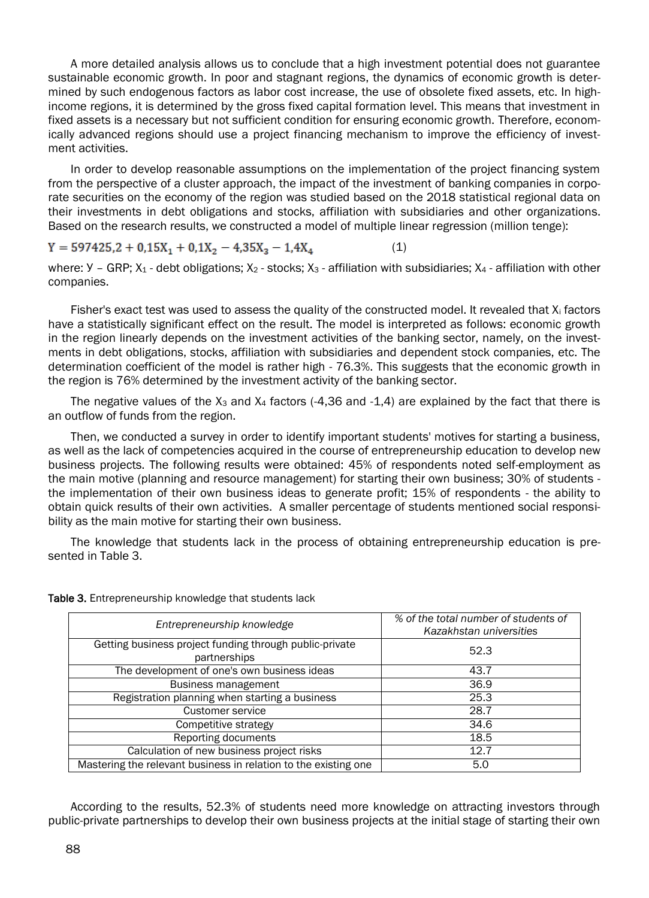A more detailed analysis allows us to conclude that a high investment potential does not guarantee sustainable economic growth. In poor and stagnant regions, the dynamics of economic growth is determined by such endogenous factors as labor cost increase, the use of obsolete fixed assets, etc. In highincome regions, it is determined by the gross fixed capital formation level. This means that investment in fixed assets is a necessary but not sufficient condition for ensuring economic growth. Therefore, economically advanced regions should use a project financing mechanism to improve the efficiency of investment activities.

In order to develop reasonable assumptions on the implementation of the project financing system from the perspective of a cluster approach, the impact of the investment of banking companies in corporate securities on the economy of the region was studied based on the 2018 statistical regional data on their investments in debt obligations and stocks, affiliation with subsidiaries and other organizations. Based on the research results, we constructed a model of multiple linear regression (million tenge):

 $Y = 597425, 2 + 0, 15X_1 + 0, 1X_2 - 4, 35X_3 - 1, 4X_4$  (1)

where:  $Y - GRP$ ;  $X_1 -$  debt obligations;  $X_2 -$  stocks;  $X_3 -$  affiliation with subsidiaries;  $X_4 -$  affiliation with other companies.

Fisher's exact test was used to assess the quality of the constructed model. It revealed that  $X_i$  factors have a statistically significant effect on the result. The model is interpreted as follows: economic growth in the region linearly depends on the investment activities of the banking sector, namely, on the investments in debt obligations, stocks, affiliation with subsidiaries and dependent stock companies, etc. The determination coefficient of the model is rather high - 76.3%. This suggests that the economic growth in the region is 76% determined by the investment activity of the banking sector.

The negative values of the  $X_3$  and  $X_4$  factors (-4,36 and -1,4) are explained by the fact that there is an outflow of funds from the region.

Then, we conducted a survey in order to identify important students' motives for starting a business, as well as the lack of competencies acquired in the course of entrepreneurship education to develop new business projects. The following results were obtained: 45% of respondents noted self-employment as the main motive (planning and resource management) for starting their own business; 30% of students the implementation of their own business ideas to generate profit; 15% of respondents - the ability to obtain quick results of their own activities. A smaller percentage of students mentioned social responsibility as the main motive for starting their own business.

The knowledge that students lack in the process of obtaining entrepreneurship education is presented in Table 3.

| Entrepreneurship knowledge                                              | % of the total number of students of<br>Kazakhstan universities |  |
|-------------------------------------------------------------------------|-----------------------------------------------------------------|--|
| Getting business project funding through public-private<br>partnerships | 52.3                                                            |  |
| The development of one's own business ideas                             | 43.7                                                            |  |
| <b>Business management</b>                                              | 36.9                                                            |  |
| Registration planning when starting a business                          | 25.3                                                            |  |
| Customer service                                                        | 28.7                                                            |  |
| Competitive strategy                                                    | 34.6                                                            |  |
| Reporting documents                                                     | 18.5                                                            |  |
| Calculation of new business project risks                               | 12.7                                                            |  |
| Mastering the relevant business in relation to the existing one         | 5.0                                                             |  |

Table 3. Entrepreneurship knowledge that students lack

According to the results, 52.3% of students need more knowledge on attracting investors through public-private partnerships to develop their own business projects at the initial stage of starting their own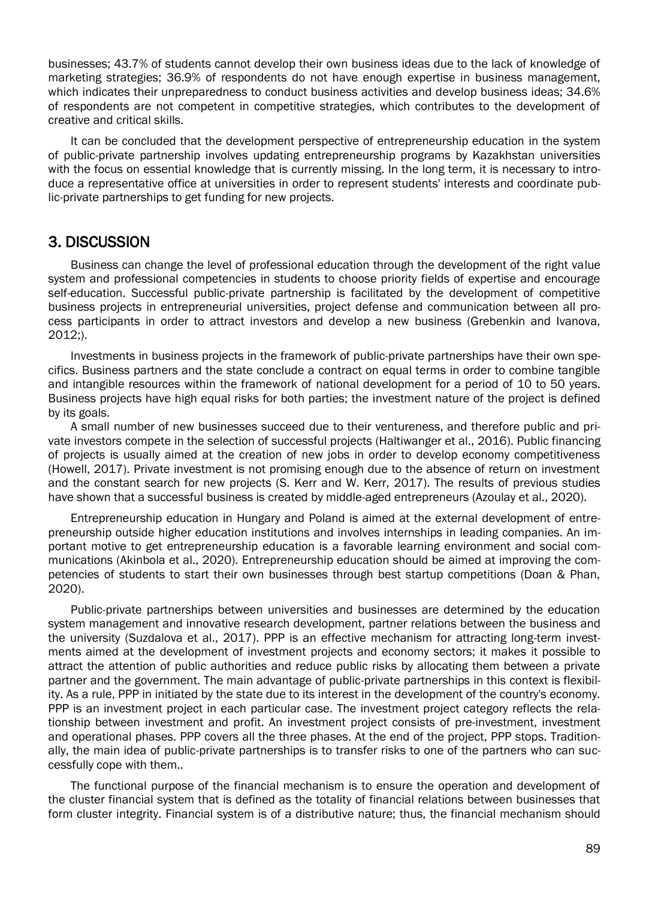businesses; 43.7% of students cannot develop their own business ideas due to the lack of knowledge of marketing strategies; 36.9% of respondents do not have enough expertise in business management, which indicates their unpreparedness to conduct business activities and develop business ideas: 34.6% of respondents are not competent in competitive strategies, which contributes to the development of creative and critical skills.

It can be concluded that the development perspective of entrepreneurship education in the system of public-private partnership involves updating entrepreneurship programs by Kazakhstan universities with the focus on essential knowledge that is currently missing. In the long term, it is necessary to introduce a representative office at universities in order to represent students' interests and coordinate public-private partnerships to get funding for new projects.

#### 3. DISCUSSION

Business can change the level of professional education through the development of the right value system and professional competencies in students to choose priority fields of expertise and encourage self-education. Successful public-private partnership is facilitated by the development of competitive business projects in entrepreneurial universities, project defense and communication between all process participants in order to attract investors and develop a new business (Grebenkin and Ivanova, 2012;).

Investments in business projects in the framework of public-private partnerships have their own specifics. Business partners and the state conclude a contract on equal terms in order to combine tangible and intangible resources within the framework of national development for a period of 10 to 50 years. Business projects have high equal risks for both parties; the investment nature of the project is defined by its goals.

A small number of new businesses succeed due to their ventureness, and therefore public and private investors compete in the selection of successful projects (Haltiwanger et al., 2016). Public financing of projects is usually aimed at the creation of new jobs in order to develop economy competitiveness (Howell, 2017). Private investment is not promising enough due to the absence of return on investment and the constant search for new projects (S. Kerr and W. Kerr, 2017). The results of previous studies have shown that a successful business is created by middle-aged entrepreneurs (Azoulay et al., 2020).

Entrepreneurship education in Hungary and Poland is aimed at the external development of entrepreneurship outside higher education institutions and involves internships in leading companies. An important motive to get entrepreneurship education is a favorable learning environment and social communications (Akinbola et al., 2020). Entrepreneurship education should be aimed at improving the competencies of students to start their own businesses through best startup competitions (Doan & Phan, 2020).

Public-private partnerships between universities and businesses are determined by the education system management and innovative research development, partner relations between the business and the university (Suzdalova et al., 2017). PPP is an effective mechanism for attracting long-term investments aimed at the development of investment projects and economy sectors; it makes it possible to attract the attention of public authorities and reduce public risks by allocating them between a private partner and the government. The main advantage of public-private partnerships in this context is flexibility. As a rule, PPP in initiated by the state due to its interest in the development of the country's economy. PPP is an investment project in each particular case. The investment project category reflects the relationship between investment and profit. An investment project consists of pre-investment, investment and operational phases. PPP covers all the three phases. At the end of the project, PPP stops. Traditionally, the main idea of public-private partnerships is to transfer risks to one of the partners who can successfully cope with them..

The functional purpose of the financial mechanism is to ensure the operation and development of the cluster financial system that is defined as the totality of financial relations between businesses that form cluster integrity. Financial system is of a distributive nature; thus, the financial mechanism should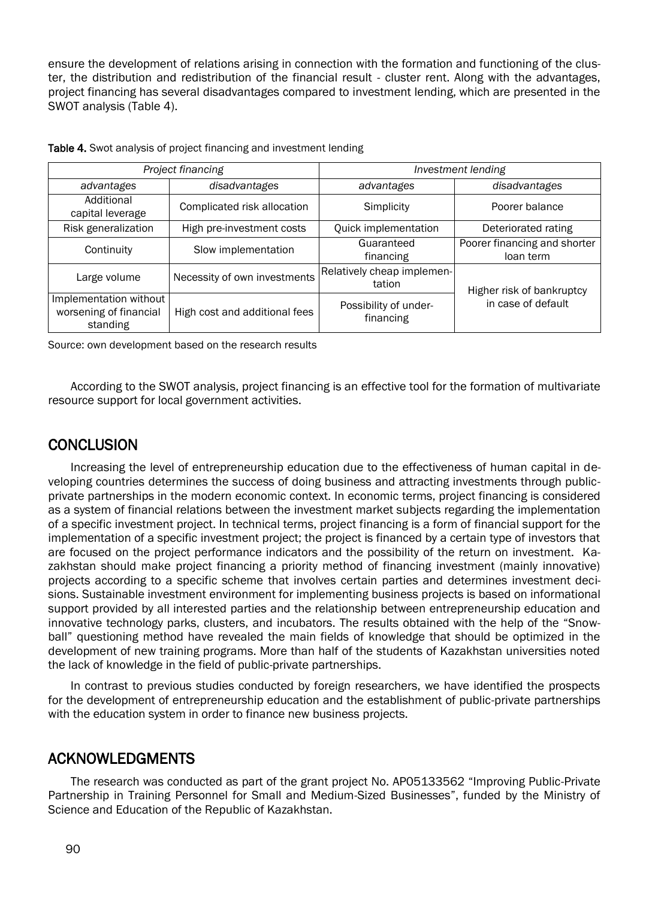ensure the development of relations arising in connection with the formation and functioning of the cluster, the distribution and redistribution of the financial result - cluster rent. Along with the advantages, project financing has several disadvantages compared to investment lending, which are presented in the SWOT analysis (Table 4).

| Project financing                                            |                               | Investment lending                   |                                                 |  |
|--------------------------------------------------------------|-------------------------------|--------------------------------------|-------------------------------------------------|--|
| advantages                                                   | disadvantages                 | advantages                           | disadvantages                                   |  |
| Additional<br>capital leverage                               | Complicated risk allocation   | Simplicity                           | Poorer balance                                  |  |
| Risk generalization                                          | High pre-investment costs     | Quick implementation                 | Deteriorated rating                             |  |
| Continuity                                                   | Slow implementation           | Guaranteed<br>financing              | Poorer financing and shorter<br>loan term       |  |
| Large volume                                                 | Necessity of own investments  | Relatively cheap implemen-<br>tation | Higher risk of bankruptcy<br>in case of default |  |
| Implementation without<br>worsening of financial<br>standing | High cost and additional fees | Possibility of under-<br>financing   |                                                 |  |

Table 4. Swot analysis of project financing and investment lending

Source: own development based on the research results

According to the SWOT analysis, project financing is an effective tool for the formation of multivariate resource support for local government activities.

#### **CONCLUSION**

Increasing the level of entrepreneurship education due to the effectiveness of human capital in developing countries determines the success of doing business and attracting investments through publicprivate partnerships in the modern economic context. In economic terms, project financing is considered as a system of financial relations between the investment market subjects regarding the implementation of a specific investment project. In technical terms, project financing is a form of financial support for the implementation of a specific investment project; the project is financed by a certain type of investors that are focused on the project performance indicators and the possibility of the return on investment. Kazakhstan should make project financing a priority method of financing investment (mainly innovative) projects according to a specific scheme that involves certain parties and determines investment decisions. Sustainable investment environment for implementing business projects is based on informational support provided by all interested parties and the relationship between entrepreneurship education and innovative technology parks, clusters, and incubators. The results obtained with the help of the "Snowball" questioning method have revealed the main fields of knowledge that should be optimized in the development of new training programs. More than half of the students of Kazakhstan universities noted the lack of knowledge in the field of public-private partnerships.

In contrast to previous studies conducted by foreign researchers, we have identified the prospects for the development of entrepreneurship education and the establishment of public-private partnerships with the education system in order to finance new business projects.

#### ACKNOWLEDGMENTS

The research was conducted as part of the grant project No. AP05133562 "Improving Public-Private Partnership in Training Personnel for Small and Medium-Sized Businesses", funded by the Ministry of Science and Education of the Republic of Kazakhstan.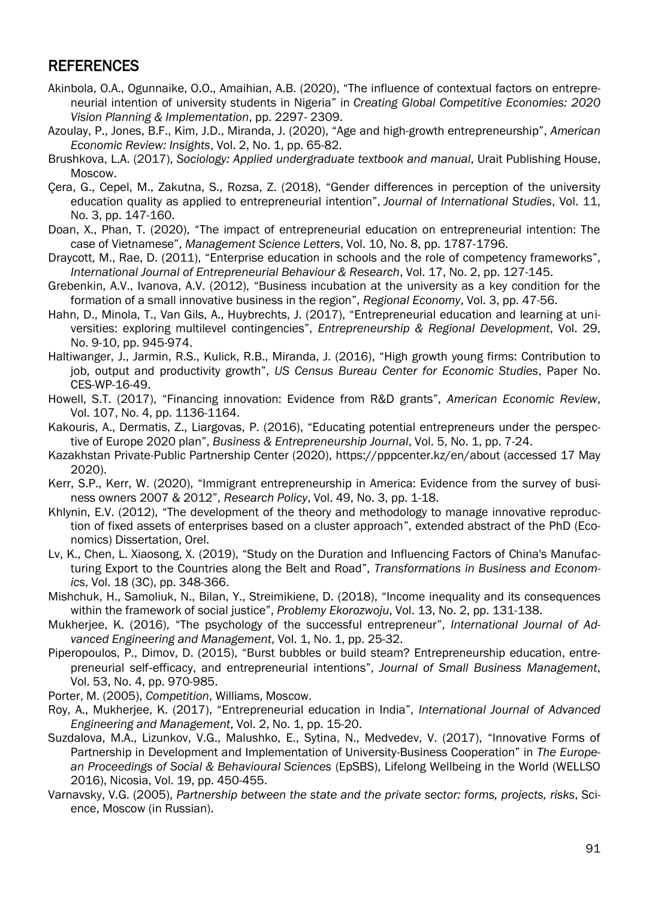#### REFERENCES

- Akinbola, O.A., Ogunnaike, O.O., Amaihian, A.B. (2020), "The influence of contextual factors on entrepreneurial intention of university students in Nigeria" in *Creating Global Competitive Economies: 2020 Vision Planning & Implementation*, pp. 2297- 2309.
- Azoulay, P., Jones, B.F., Kim, J.D., Miranda, J. (2020), "Age and high-growth entrepreneurship", *American Economic Review: Insights*, Vol. 2, No. 1, pp. 65-82.
- Brushkova, L.A. (2017), *Sociology: Applied undergraduate textbook and manual*, Urait Publishing House, Moscow.
- Çera, G., Cepel, M., Zakutna, S., Rozsa, Z. (2018), "Gender differences in perception of the university education quality as applied to entrepreneurial intention", *Journal of International Studies*, Vol. 11, No. 3, pp. 147-160.
- Doan, X., Phan, T. (2020), "The impact of entrepreneurial education on entrepreneurial intention: The case of Vietnamese", *Management Science Letters*, Vol. 10, No. 8, pp. 1787-1796.
- Draycott, M., Rae, D. (2011), "Enterprise education in schools and the role of competency frameworks", *International Journal of Entrepreneurial Behaviour & Research*, Vol. 17, No. 2, pp. 127-145.
- Grebenkin, A.V., Ivanova, A.V. (2012), "Business incubation at the university as a key condition for the formation of a small innovative business in the region", *Regional Economy*, Vol. 3, pp. 47-56.
- Hahn, D., Minola, T., Van Gils, A., Huybrechts, J. (2017), "Entrepreneurial education and learning at universities: exploring multilevel contingencies", *Entrepreneurship & Regional Development*, Vol. 29, No. 9-10, pp. 945-974.
- Haltiwanger, J., Jarmin, R.S., Kulick, R.B., Miranda, J. (2016), "High growth young firms: Contribution to job, output and productivity growth", *US Census Bureau Center for Economic Studies*, Paper No. CES-WP-16-49.
- Howell, S.T. (2017), "Financing innovation: Evidence from R&D grants", *American Economic Review*, Vol. 107, No. 4, pp. 1136-1164.
- Kakouris, A., Dermatis, Z., Liargovas, P. (2016), "Educating potential entrepreneurs under the perspective of Europe 2020 plan", *Business & Entrepreneurship Journal*, Vol. 5, No. 1, pp. 7-24.
- Kazakhstan Private-Public Partnership Center (2020), https://pppcenter.kz/en/about (accessed 17 May 2020).
- Kerr, S.P., Kerr, W. (2020), "Immigrant entrepreneurship in America: Evidence from the survey of business owners 2007 & 2012", *Research Policy*, Vol. 49, No. 3, pp. 1-18.
- Khlynin, E.V. (2012), "The development of the theory and methodology to manage innovative reproduction of fixed assets of enterprises based on a cluster approach", extended abstract of the PhD (Economics) Dissertation, Orel.
- Lv, K., Chen, L. Xiaosong, X. (2019), "Study on the Duration and Influencing Factors of China's Manufacturing Export to the Countries along the Belt and Road", *Transformations in Business and Economics*, Vol. 18 (3C), pp. 348-366.
- Mishchuk, H., Samoliuk, N., Bilan, Y., Streimikiene, D. (2018), "Income inequality and its consequences within the framework of social justice", *Problemy Ekorozwoju*, Vol. 13, No. 2, pp. 131-138.
- Mukherjee, K. (2016), "The psychology of the successful entrepreneur", *International Journal of Advanced Engineering and Management*, Vol. 1, No. 1, pp. 25-32.
- Piperopoulos, P., Dimov, D. (2015), "Burst bubbles or build steam? Entrepreneurship education, entrepreneurial self‐efficacy, and entrepreneurial intentions", *Journal of Small Business Management*, Vol. 53, No. 4, pp. 970-985.

Porter, M. (2005), *Competition*, Williams, Moscow.

- Roy, A., Mukherjee, K. (2017), "Entrepreneurial education in India", *International Journal of Advanced Engineering and Management*, Vol. 2, No. 1, pp. 15-20.
- Suzdalova, M.A., Lizunkov, V.G., Malushko, E., Sytina, N., Medvedev, V. (2017), "Innovative Forms of Partnership in Development and Implementation of University-Business Cooperation" in *The European Proceedings of Social & Behavioural Sciences* (EpSBS), Lifelong Wellbeing in the World (WELLSO 2016), Nicosia, Vol. 19, pp. 450-455.
- Varnavsky, V.G. (2005), *Partnership between the state and the private sector: forms, projects, risks*, Science, Moscow (in Russian).